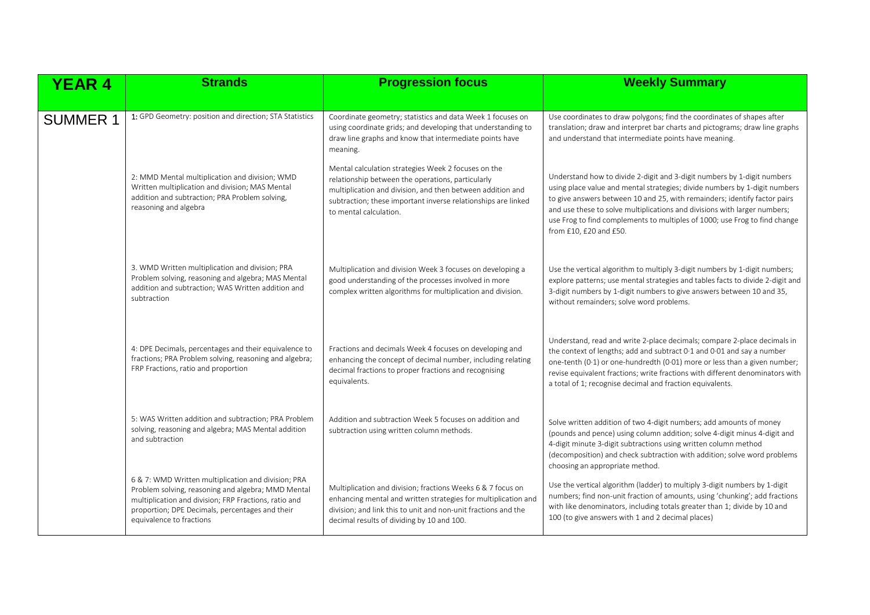| <b>YEAR 4</b>   | <b>Strands</b>                                                                                                                                                                                                                                    | <b>Progression focus</b>                                                                                                                                                                                                                                          | <b>Weekly Summary</b>                                                                                                                                                                                                                                                                                                                                                                                                   |
|-----------------|---------------------------------------------------------------------------------------------------------------------------------------------------------------------------------------------------------------------------------------------------|-------------------------------------------------------------------------------------------------------------------------------------------------------------------------------------------------------------------------------------------------------------------|-------------------------------------------------------------------------------------------------------------------------------------------------------------------------------------------------------------------------------------------------------------------------------------------------------------------------------------------------------------------------------------------------------------------------|
| <b>SUMMER 1</b> | 1: GPD Geometry: position and direction; STA Statistics                                                                                                                                                                                           | Coordinate geometry; statistics and data Week 1 focuses on<br>using coordinate grids; and developing that understanding to<br>draw line graphs and know that intermediate points have<br>meaning.                                                                 | Use coordinates to draw polygons; find the coordinates of shapes after<br>translation; draw and interpret bar charts and pictograms; draw line graphs<br>and understand that intermediate points have meaning.                                                                                                                                                                                                          |
|                 | 2: MMD Mental multiplication and division; WMD<br>Written multiplication and division; MAS Mental<br>addition and subtraction; PRA Problem solving,<br>reasoning and algebra                                                                      | Mental calculation strategies Week 2 focuses on the<br>relationship between the operations, particularly<br>multiplication and division, and then between addition and<br>subtraction; these important inverse relationships are linked<br>to mental calculation. | Understand how to divide 2-digit and 3-digit numbers by 1-digit numbers<br>using place value and mental strategies; divide numbers by 1-digit numbers<br>to give answers between 10 and 25, with remainders; identify factor pairs<br>and use these to solve multiplications and divisions with larger numbers;<br>use Frog to find complements to multiples of 1000; use Frog to find change<br>from £10, £20 and £50. |
|                 | 3. WMD Written multiplication and division; PRA<br>Problem solving, reasoning and algebra; MAS Mental<br>addition and subtraction; WAS Written addition and<br>subtraction                                                                        | Multiplication and division Week 3 focuses on developing a<br>good understanding of the processes involved in more<br>complex written algorithms for multiplication and division.                                                                                 | Use the vertical algorithm to multiply 3-digit numbers by 1-digit numbers;<br>explore patterns; use mental strategies and tables facts to divide 2-digit and<br>3-digit numbers by 1-digit numbers to give answers between 10 and 35,<br>without remainders; solve word problems.                                                                                                                                       |
|                 | 4: DPE Decimals, percentages and their equivalence to<br>fractions; PRA Problem solving, reasoning and algebra;<br>FRP Fractions, ratio and proportion                                                                                            | Fractions and decimals Week 4 focuses on developing and<br>enhancing the concept of decimal number, including relating<br>decimal fractions to proper fractions and recognising<br>equivalents.                                                                   | Understand, read and write 2-place decimals; compare 2-place decimals in<br>the context of lengths; add and subtract 0.1 and 0.01 and say a number<br>one-tenth (0.1) or one-hundredth (0.01) more or less than a given number;<br>revise equivalent fractions; write fractions with different denominators with<br>a total of 1; recognise decimal and fraction equivalents.                                           |
|                 | 5: WAS Written addition and subtraction; PRA Problem<br>solving, reasoning and algebra; MAS Mental addition<br>and subtraction                                                                                                                    | Addition and subtraction Week 5 focuses on addition and<br>subtraction using written column methods.                                                                                                                                                              | Solve written addition of two 4-digit numbers; add amounts of money<br>(pounds and pence) using column addition; solve 4-digit minus 4-digit and<br>4-digit minute 3-digit subtractions using written column method<br>(decomposition) and check subtraction with addition; solve word problems<br>choosing an appropriate method.                                                                                      |
|                 | 6 & 7: WMD Written multiplication and division; PRA<br>Problem solving, reasoning and algebra; MMD Mental<br>multiplication and division; FRP Fractions, ratio and<br>proportion; DPE Decimals, percentages and their<br>equivalence to fractions | Multiplication and division; fractions Weeks 6 & 7 focus on<br>enhancing mental and written strategies for multiplication and<br>division; and link this to unit and non-unit fractions and the<br>decimal results of dividing by 10 and 100.                     | Use the vertical algorithm (ladder) to multiply 3-digit numbers by 1-digit<br>numbers; find non-unit fraction of amounts, using 'chunking'; add fractions<br>with like denominators, including totals greater than 1; divide by 10 and<br>100 (to give answers with 1 and 2 decimal places)                                                                                                                             |